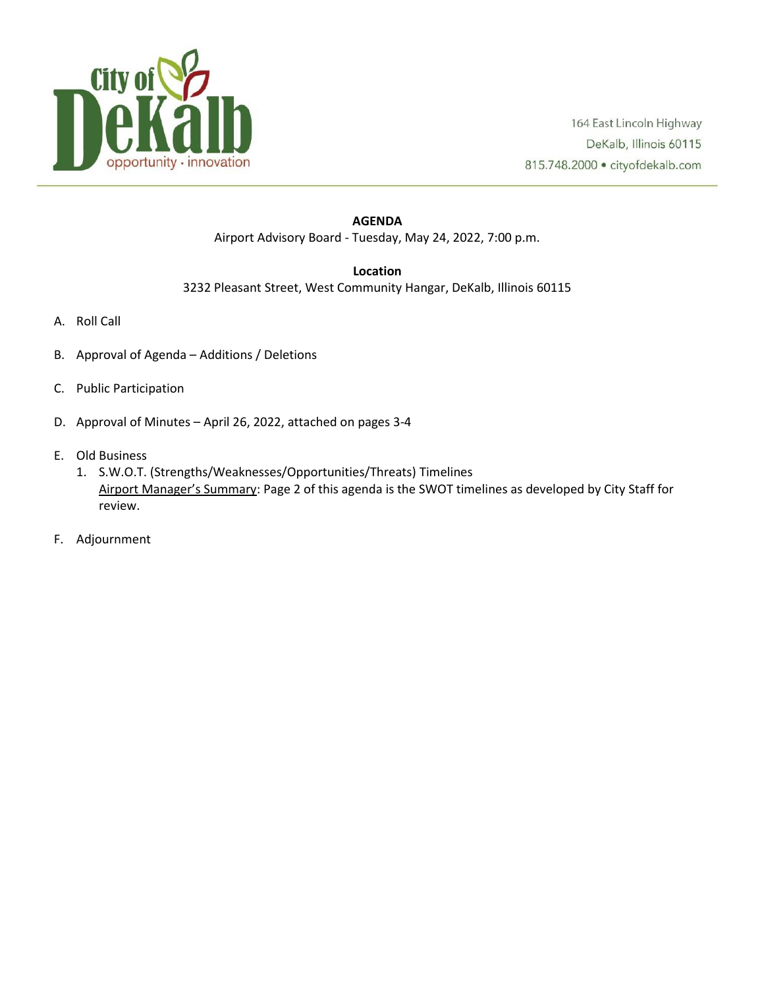

## **AGENDA** Airport Advisory Board - Tuesday, May 24, 2022, 7:00 p.m.

## **Location**

3232 Pleasant Street, West Community Hangar, DeKalb, Illinois 60115

- A. Roll Call
- B. Approval of Agenda Additions / Deletions
- C. Public Participation
- D. Approval of Minutes April 26, 2022, attached on pages 3-4
- E. Old Business
	- 1. S.W.O.T. (Strengths/Weaknesses/Opportunities/Threats) Timelines Airport Manager's Summary: Page 2 of this agenda is the SWOT timelines as developed by City Staff for review.
- F. Adjournment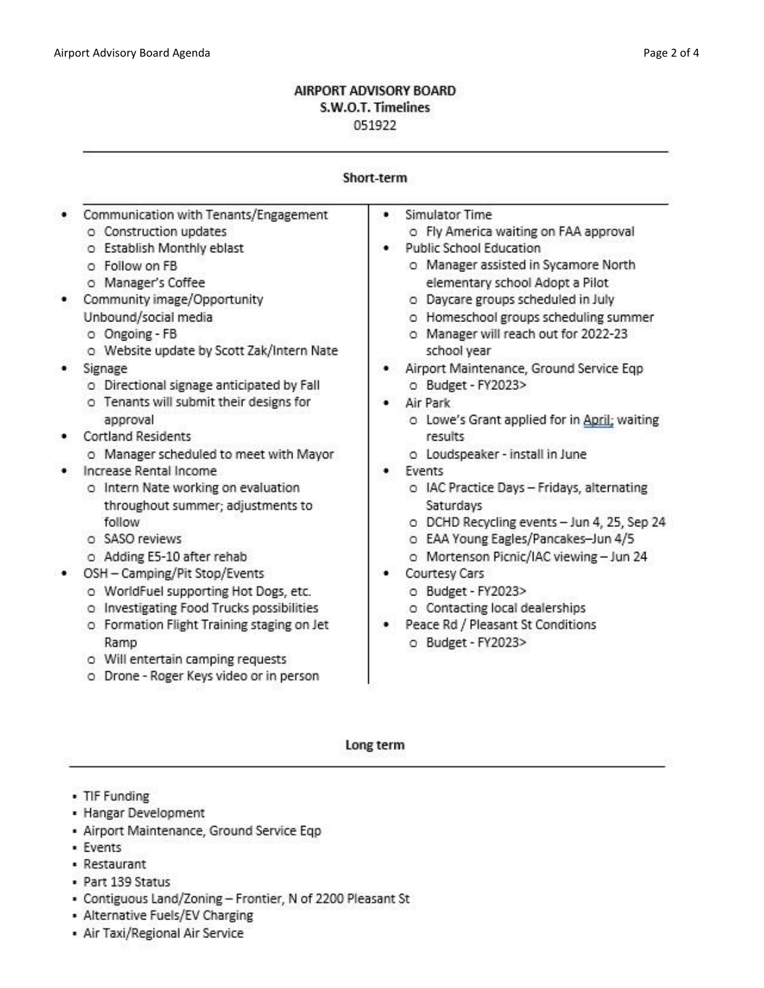## AIRPORT ADVISORY BOARD S.W.O.T. Timelines 051922

| Short-term |  |  |
|------------|--|--|
|            |  |  |

|                               | Communication with Tenants/Engagement       | Simulator Time                               |
|-------------------------------|---------------------------------------------|----------------------------------------------|
|                               | o Construction updates                      | o Fly America waiting on FAA approval        |
|                               | o Establish Monthly eblast                  | <b>Public School Education</b>               |
|                               | o Follow on FB                              | o Manager assisted in Sycamore North         |
|                               | o Manager's Coffee                          | elementary school Adopt a Pilot              |
|                               | Community image/Opportunity                 | o Daycare groups scheduled in July           |
|                               | Unbound/social media                        | o Homeschool groups scheduling summer        |
|                               | o Ongoing - FB                              | o Manager will reach out for 2022-23         |
|                               | o Website update by Scott Zak/Intern Nate   | school year                                  |
|                               | Signage                                     | Airport Maintenance, Ground Service Eqp      |
|                               | o Directional signage anticipated by Fall   | o Budget - FY2023>                           |
|                               | o Tenants will submit their designs for     | Air Park                                     |
|                               | approval                                    | o Lowe's Grant applied for in April; waiting |
|                               | <b>Cortland Residents</b>                   | results                                      |
|                               | o Manager scheduled to meet with Mayor      | o Loudspeaker - install in June              |
|                               | Increase Rental Income                      | Events                                       |
|                               | o Intern Nate working on evaluation         | o IAC Practice Days - Fridays, alternating   |
|                               |                                             | Saturdays                                    |
|                               | throughout summer; adjustments to<br>follow |                                              |
|                               |                                             | o DCHD Recycling events - Jun 4, 25, Sep 24  |
|                               | o SASO reviews                              | o EAA Young Eagles/Pancakes-Jun 4/5          |
|                               | o Adding E5-10 after rehab                  | o Mortenson Picnic/IAC viewing - Jun 24      |
| OSH - Camping/Pit Stop/Events |                                             | Courtesy Cars                                |
|                               | o WorldFuel supporting Hot Dogs, etc.       | o Budget - FY2023>                           |
|                               | o Investigating Food Trucks possibilities   | o Contacting local dealerships               |
|                               | o Formation Flight Training staging on Jet  | Peace Rd / Pleasant St Conditions            |
|                               | Ramp                                        | o Budget - FY2023>                           |
|                               | o Will entertain camping requests           |                                              |
|                               | o Drone - Roger Keys video or in person     |                                              |

Long term

- TIF Funding
- Hangar Development
- · Airport Maintenance, Ground Service Eqp
- Events
- Restaurant
- · Part 139 Status
- Contiguous Land/Zoning Frontier, N of 2200 Pleasant St
- Alternative Fuels/EV Charging
- Air Taxi/Regional Air Service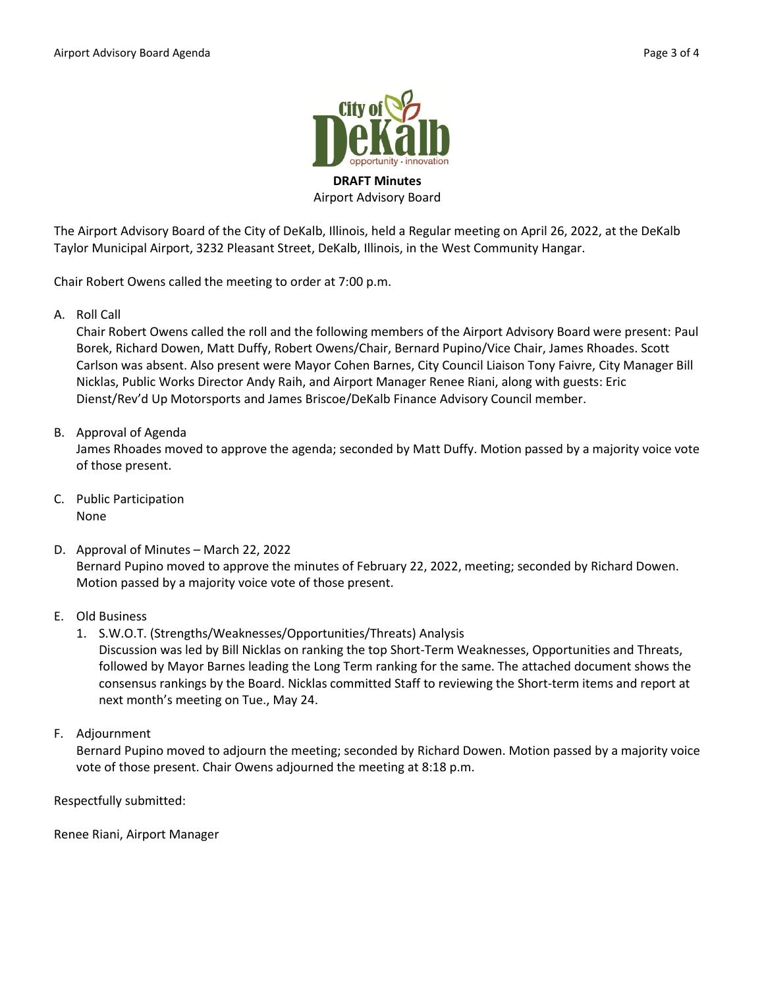

Airport Advisory Board

The Airport Advisory Board of the City of DeKalb, Illinois, held a Regular meeting on April 26, 2022, at the DeKalb Taylor Municipal Airport, 3232 Pleasant Street, DeKalb, Illinois, in the West Community Hangar.

Chair Robert Owens called the meeting to order at 7:00 p.m.

A. Roll Call

Chair Robert Owens called the roll and the following members of the Airport Advisory Board were present: Paul Borek, Richard Dowen, Matt Duffy, Robert Owens/Chair, Bernard Pupino/Vice Chair, James Rhoades. Scott Carlson was absent. Also present were Mayor Cohen Barnes, City Council Liaison Tony Faivre, City Manager Bill Nicklas, Public Works Director Andy Raih, and Airport Manager Renee Riani, along with guests: Eric Dienst/Rev'd Up Motorsports and James Briscoe/DeKalb Finance Advisory Council member.

B. Approval of Agenda

James Rhoades moved to approve the agenda; seconded by Matt Duffy. Motion passed by a majority voice vote of those present.

- C. Public Participation None
- D. Approval of Minutes March 22, 2022 Bernard Pupino moved to approve the minutes of February 22, 2022, meeting; seconded by Richard Dowen. Motion passed by a majority voice vote of those present.
- E. Old Business
	- 1. S.W.O.T. (Strengths/Weaknesses/Opportunities/Threats) Analysis
		- Discussion was led by Bill Nicklas on ranking the top Short-Term Weaknesses, Opportunities and Threats, followed by Mayor Barnes leading the Long Term ranking for the same. The attached document shows the consensus rankings by the Board. Nicklas committed Staff to reviewing the Short-term items and report at next month's meeting on Tue., May 24.
- F. Adjournment

Bernard Pupino moved to adjourn the meeting; seconded by Richard Dowen. Motion passed by a majority voice vote of those present. Chair Owens adjourned the meeting at 8:18 p.m.

Respectfully submitted:

Renee Riani, Airport Manager